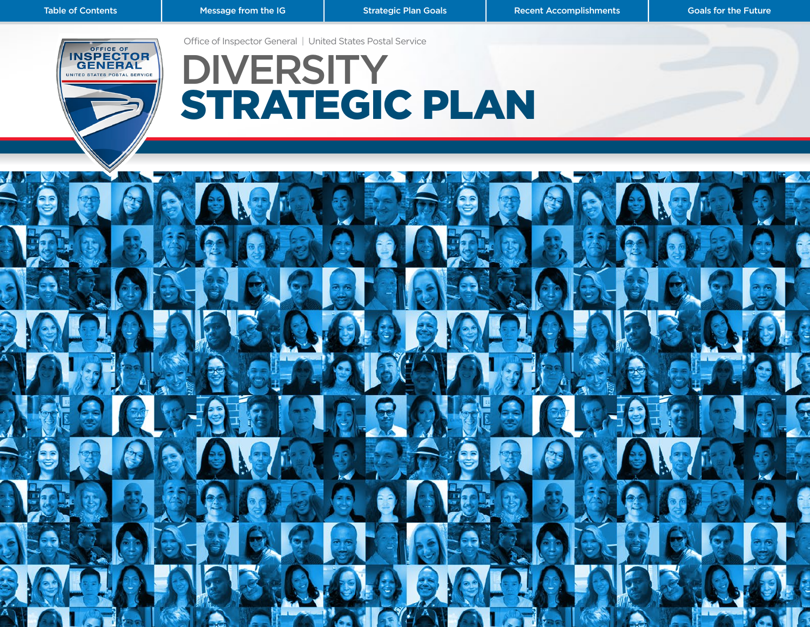Office of Inspector General | United States Postal Service

<span id="page-0-0"></span>

# **DIVERSITY** STRATEGIC PLAN

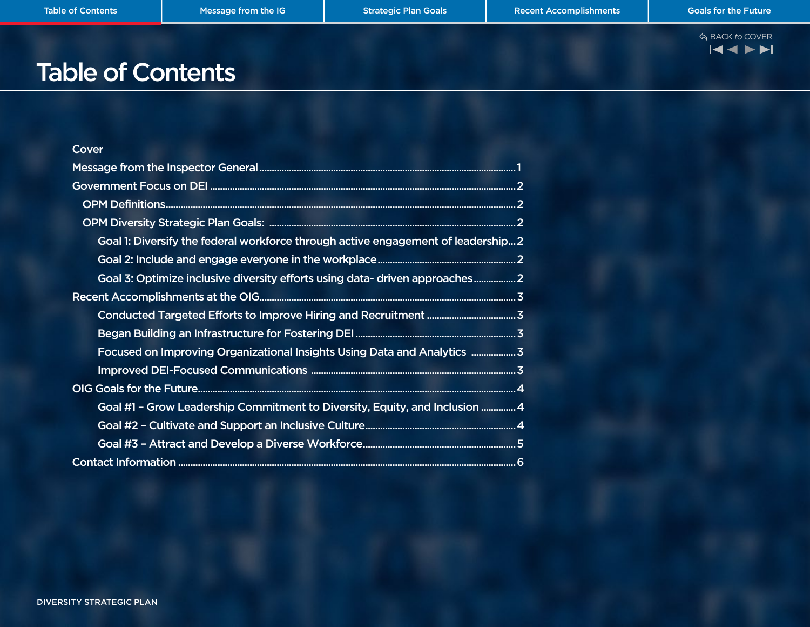

# Table of Contents

| Cover                                                                             |  |
|-----------------------------------------------------------------------------------|--|
|                                                                                   |  |
|                                                                                   |  |
|                                                                                   |  |
|                                                                                   |  |
| Goal 1: Diversify the federal workforce through active engagement of leadership 2 |  |
|                                                                                   |  |
| Goal 3: Optimize inclusive diversity efforts using data- driven approaches 2      |  |
|                                                                                   |  |
|                                                                                   |  |
|                                                                                   |  |
| Focused on Improving Organizational Insights Using Data and Analytics  3          |  |
|                                                                                   |  |
|                                                                                   |  |
| Goal #1 - Grow Leadership Commitment to Diversity, Equity, and Inclusion  4       |  |
|                                                                                   |  |
|                                                                                   |  |
|                                                                                   |  |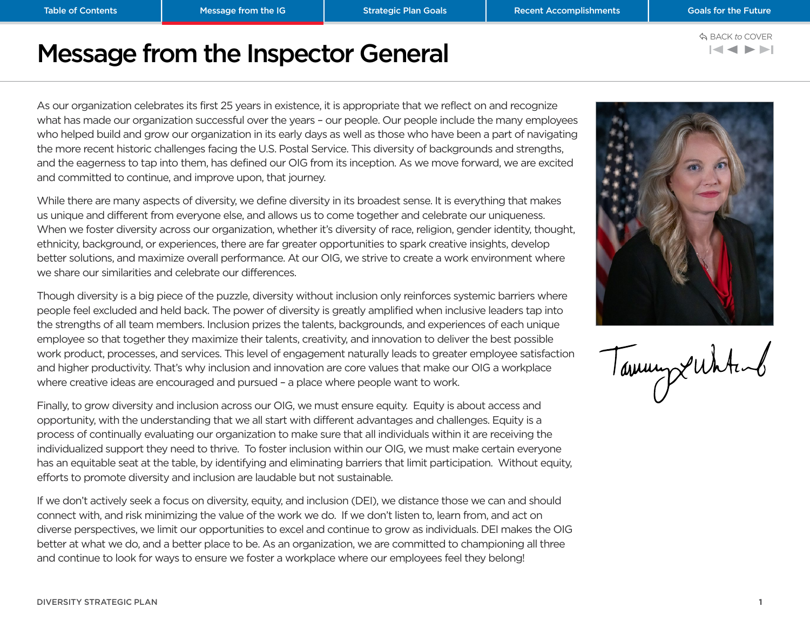### **KINDER**

# <span id="page-2-0"></span>Message from the Inspector General

As our organization celebrates its first 25 years in existence, it is appropriate that we reflect on and recognize what has made our organization successful over the years – our people. Our people include the many employees who helped build and grow our organization in its early days as well as those who have been a part of navigating the more recent historic challenges facing the U.S. Postal Service. This diversity of backgrounds and strengths, and the eagerness to tap into them, has defined our OIG from its inception. As we move forward, we are excited and committed to continue, and improve upon, that journey.

While there are many aspects of diversity, we define diversity in its broadest sense. It is everything that makes us unique and different from everyone else, and allows us to come together and celebrate our uniqueness. When we foster diversity across our organization, whether it's diversity of race, religion, gender identity, thought, ethnicity, background, or experiences, there are far greater opportunities to spark creative insights, develop better solutions, and maximize overall performance. At our OIG, we strive to create a work environment where we share our similarities and celebrate our differences.

Though diversity is a big piece of the puzzle, diversity without inclusion only reinforces systemic barriers where people feel excluded and held back. The power of diversity is greatly amplified when inclusive leaders tap into the strengths of all team members. Inclusion prizes the talents, backgrounds, and experiences of each unique employee so that together they maximize their talents, creativity, and innovation to deliver the best possible work product, processes, and services. This level of engagement naturally leads to greater employee satisfaction and higher productivity. That's why inclusion and innovation are core values that make our OIG a workplace where creative ideas are encouraged and pursued – a place where people want to work.

Finally, to grow diversity and inclusion across our OIG, we must ensure equity. Equity is about access and opportunity, with the understanding that we all start with different advantages and challenges. Equity is a process of continually evaluating our organization to make sure that all individuals within it are receiving the individualized support they need to thrive. To foster inclusion within our OIG, we must make certain everyone has an equitable seat at the table, by identifying and eliminating barriers that limit participation. Without equity, efforts to promote diversity and inclusion are laudable but not sustainable.

If we don't actively seek a focus on diversity, equity, and inclusion (DEI), we distance those we can and should connect with, and risk minimizing the value of the work we do. If we don't listen to, learn from, and act on diverse perspectives, we limit our opportunities to excel and continue to grow as individuals. DEI makes the OIG better at what we do, and a better place to be. As an organization, we are committed to championing all three and continue to look for ways to ensure we foster a workplace where our employees feel they belong!



TammyxWhtenb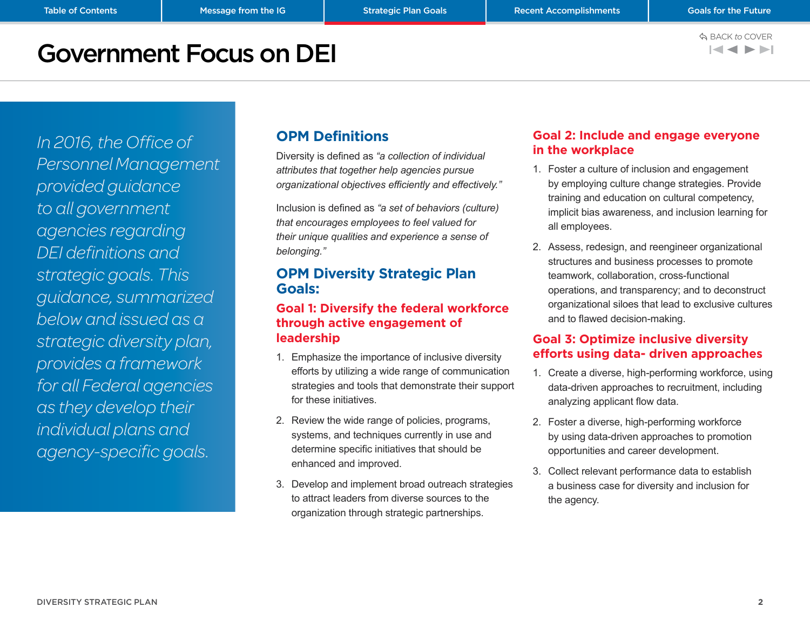$\blacktriangleleft$ 

## <span id="page-3-0"></span>Government Focus on DEI

*In 2016, the Office of Personnel Management provided guidance to all government agencies regarding DEI definitions and strategic goals. This guidance, summarized below and issued as a strategic diversity plan, provides a framework for all Federal agencies as they develop their individual plans and agency-specific goals.* 

### **OPM Definitions**

Diversity is defined as *"a collection of individual attributes that together help agencies pursue organizational objectives efficiently and effectively."* 

Inclusion is defined as *"a set of behaviors (culture) that encourages employees to feel valued for their unique qualities and experience a sense of belonging."*

### **OPM Diversity Strategic Plan Goals:**

### **Goal 1: Diversify the federal workforce through active engagement of leadership**

- 1. Emphasize the importance of inclusive diversity efforts by utilizing a wide range of communication strategies and tools that demonstrate their support for these initiatives.
- 2. Review the wide range of policies, programs, systems, and techniques currently in use and determine specific initiatives that should be enhanced and improved.
- 3. Develop and implement broad outreach strategies to attract leaders from diverse sources to the organization through strategic partnerships.

### **Goal 2: Include and engage everyone in the workplace**

- 1. Foster a culture of inclusion and engagement by employing culture change strategies. Provide training and education on cultural competency, implicit bias awareness, and inclusion learning for all employees.
- 2. Assess, redesign, and reengineer organizational structures and business processes to promote teamwork, collaboration, cross-functional operations, and transparency; and to deconstruct organizational siloes that lead to exclusive cultures and to flawed decision-making.

### **Goal 3: Optimize inclusive diversity efforts using data- driven approaches**

- 1. Create a diverse, high-performing workforce, using data-driven approaches to recruitment, including analyzing applicant flow data.
- 2. Foster a diverse, high-performing workforce by using data-driven approaches to promotion opportunities and career development.
- 3. Collect relevant performance data to establish a business case for diversity and inclusion for the agency.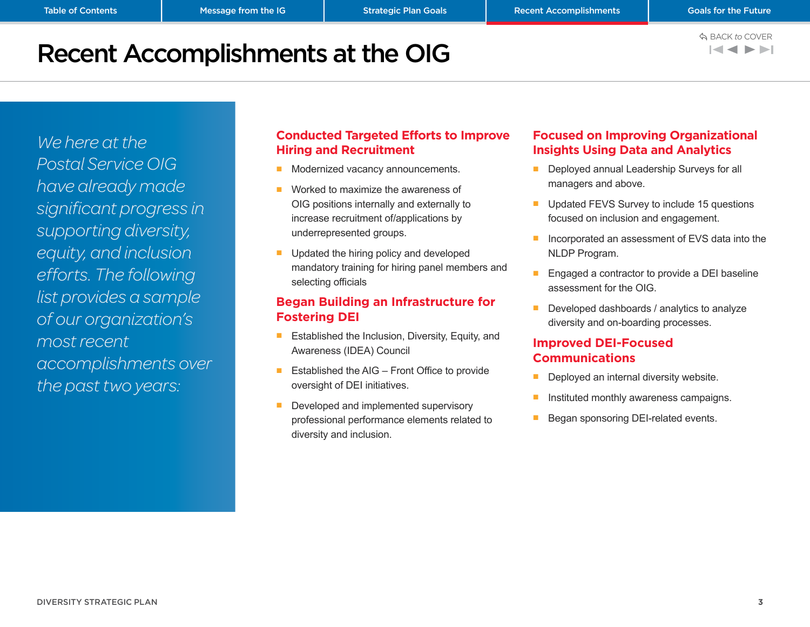# <span id="page-4-0"></span>Recent Accomplishments at the OIG

*We here at the Postal Service OIG have already made significant progress in supporting diversity, equity, and inclusion efforts. The following list provides a sample of our organization's most recent accomplishments over the past two years:*

### **Conducted Targeted Efforts to Improve Hiring and Recruitment**

- Modernized vacancy announcements.
- Worked to maximize the awareness of OIG positions internally and externally to increase recruitment of/applications by underrepresented groups.
- Updated the hiring policy and developed mandatory training for hiring panel members and selecting officials

#### **Began Building an Infrastructure for Fostering DEI**

- Established the Inclusion, Diversity, Equity, and Awareness (IDEA) Council
- Established the AIG Front Office to provide oversight of DEI initiatives.
- Developed and implemented supervisory professional performance elements related to diversity and inclusion.

### **Focused on Improving Organizational Insights Using Data and Analytics**

- Deployed annual Leadership Surveys for all managers and above.
- Updated FEVS Survey to include 15 questions focused on inclusion and engagement.
- Incorporated an assessment of EVS data into the NLDP Program.
- Engaged a contractor to provide a DEI baseline assessment for the OIG.
- Developed dashboards / analytics to analyze diversity and on-boarding processes.

### **Improved DEI-Focused Communications**

- Deployed an internal diversity website.
- Instituted monthly awareness campaigns.
- Began sponsoring DEI-related events.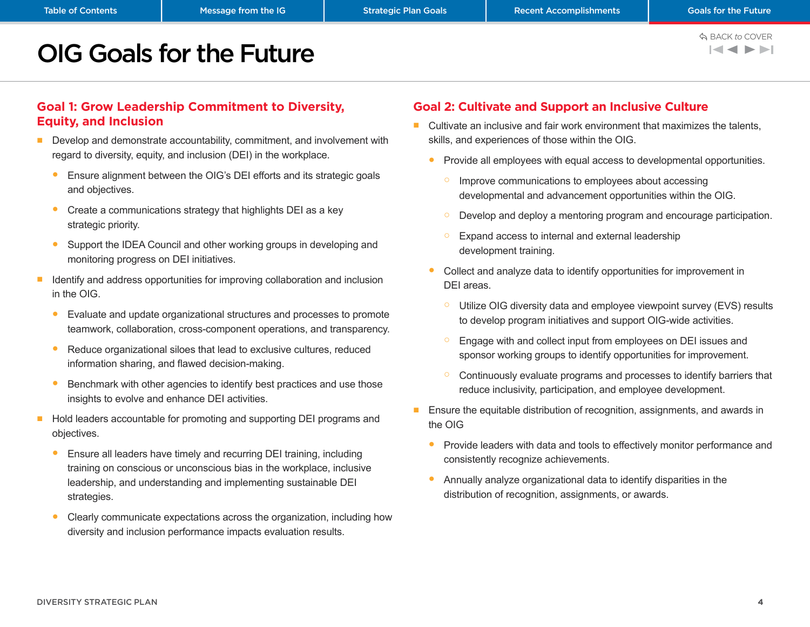**Message from the IG Example 20 Strategic Plan Goals Mexical Recent Accomplishments** and the Future of the Future<br>Message from the IG and the Euture of Strategic Plan Goals Mexico Plan Recent Accomplishments<br>Mexico COVER  $\blacktriangleleft$   $\blacktriangleleft$   $\blacktriangleright$   $\blacktriangleright$   $\blacktriangleright$   $\blacktriangleright$   $\dashv$ 

# <span id="page-5-0"></span>OIG Goals for the Future

### **Goal 1: Grow Leadership Commitment to Diversity, Equity, and Inclusion**

- Develop and demonstrate accountability, commitment, and involvement with regard to diversity, equity, and inclusion (DEI) in the workplace.
	- Ensure alignment between the OIG's DEI efforts and its strategic goals and objectives.
	- Create a communications strategy that highlights DEI as a key strategic priority.
	- Support the IDEA Council and other working groups in developing and monitoring progress on DEI initiatives.
- Identify and address opportunities for improving collaboration and inclusion in the OIG.
	- Evaluate and update organizational structures and processes to promote teamwork, collaboration, cross-component operations, and transparency.
	- Reduce organizational siloes that lead to exclusive cultures, reduced information sharing, and flawed decision-making.
	- Benchmark with other agencies to identify best practices and use those insights to evolve and enhance DEI activities.
- Hold leaders accountable for promoting and supporting DEI programs and objectives.
	- Ensure all leaders have timely and recurring DEI training, including training on conscious or unconscious bias in the workplace, inclusive leadership, and understanding and implementing sustainable DEI strategies.
	- Clearly communicate expectations across the organization, including how diversity and inclusion performance impacts evaluation results.

### **Goal 2: Cultivate and Support an Inclusive Culture**

- Cultivate an inclusive and fair work environment that maximizes the talents, skills, and experiences of those within the OIG.
	- Provide all employees with equal access to developmental opportunities.
		- Improve communications to employees about accessing developmental and advancement opportunities within the OIG.
		- Develop and deploy a mentoring program and encourage participation.
		- Expand access to internal and external leadership development training.
	- Collect and analyze data to identify opportunities for improvement in DEI areas.
		- Utilize OIG diversity data and employee viewpoint survey (EVS) results to develop program initiatives and support OIG-wide activities.
		- Engage with and collect input from employees on DEI issues and sponsor working groups to identify opportunities for improvement.
		- Continuously evaluate programs and processes to identify barriers that reduce inclusivity, participation, and employee development.
- Ensure the equitable distribution of recognition, assignments, and awards in the OIG
	- Provide leaders with data and tools to effectively monitor performance and consistently recognize achievements.
	- Annually analyze organizational data to identify disparities in the distribution of recognition, assignments, or awards.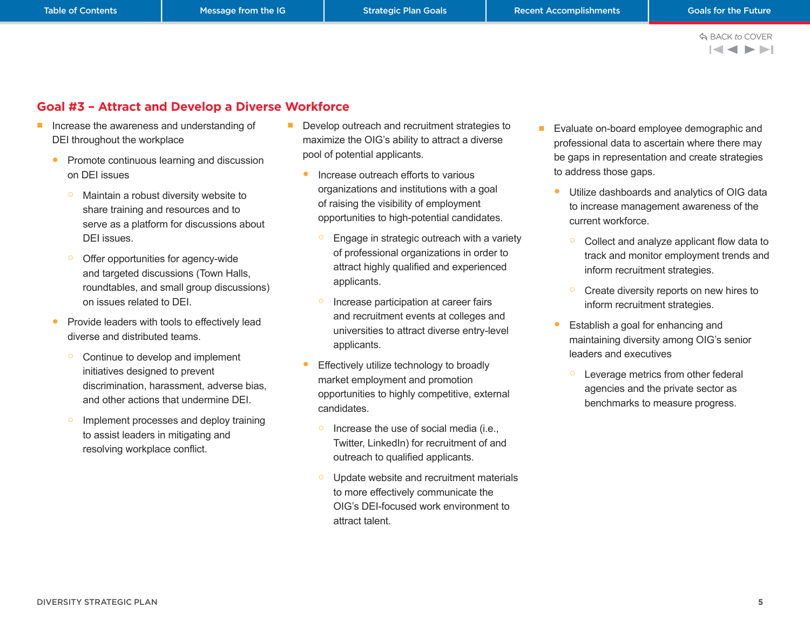$\blacksquare$ 

### <span id="page-6-0"></span>**Goal #3 – Attract and Develop a Diverse Workforce**

- Increase the awareness and understanding of DEI throughout the workplace
	- Promote continuous learning and discussion on DEI issues
		- Maintain a robust diversity website to share training and resources and to serve as a platform for discussions about DEI issues.
		- Offer opportunities for agency-wide and targeted discussions (Town Halls, roundtables, and small group discussions) on issues related to DEI.
	- Provide leaders with tools to effectively lead diverse and distributed teams.
		- Continue to develop and implement initiatives designed to prevent discrimination, harassment, adverse bias, and other actions that undermine DEI.
		- o Implement processes and deploy training to assist leaders in mitigating and resolving workplace conflict.
- Develop outreach and recruitment strategies to maximize the OIG's ability to attract a diverse pool of potential applicants.
	- Increase outreach efforts to various organizations and institutions with a goal of raising the visibility of employment opportunities to high-potential candidates.
		- Engage in strategic outreach with a variety of professional organizations in order to attract highly qualified and experienced applicants.
		- Increase participation at career fairs and recruitment events at colleges and universities to attract diverse entry-level applicants.
	- Effectively utilize technology to broadly market employment and promotion opportunities to highly competitive, external candidates.
		- Increase the use of social media (i.e., Twitter, LinkedIn) for recruitment of and outreach to qualified applicants.
		- Update website and recruitment materials to more effectively communicate the OIG's DEI-focused work environment to attract talent.
- Evaluate on-board employee demographic and professional data to ascertain where there may be gaps in representation and create strategies to address those gaps.
	- Utilize dashboards and analytics of OIG data to increase management awareness of the current workforce.
		- Collect and analyze applicant flow data to track and monitor employment trends and inform recruitment strategies.
		- Create diversity reports on new hires to inform recruitment strategies.
	- Establish a goal for enhancing and maintaining diversity among OIG's senior leaders and executives
		- Leverage metrics from other federal agencies and the private sector as benchmarks to measure progress.